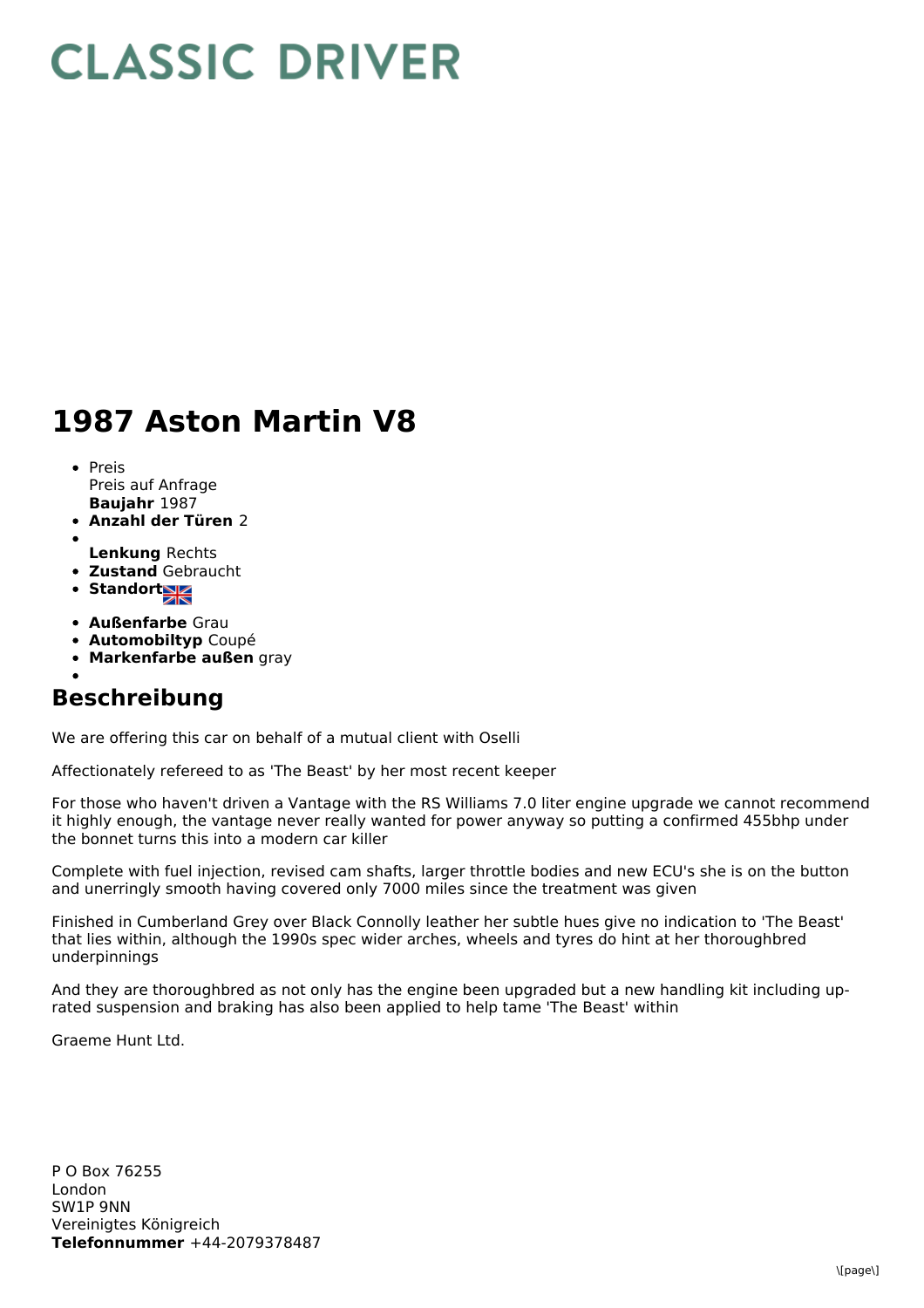## **CLASSIC DRIVER**

## **1987 Aston Martin V8**

- **Baujahr** 1987 • Preis Preis auf Anfrage
- **Anzahl der Türen** 2
- **Lenkung** Rechts
- **Zustand** Gebraucht
- Standort
- **Außenfarbe** Grau
- **Automobiltyp** Coupé
- **Markenfarbe außen** gray
- 

## **Beschreibung**

We are offering this car on behalf of a mutual client with Oselli

Affectionately refereed to as 'The Beast' by her most recent keeper

For those who haven't driven a Vantage with the RS Williams 7.0 liter engine upgrade we cannot recommend it highly enough, the vantage never really wanted for power anyway so putting a confirmed 455bhp under the bonnet turns this into a modern car killer

Complete with fuel injection, revised cam shafts, larger throttle bodies and new ECU's she is on the button and unerringly smooth having covered only 7000 miles since the treatment was given

Finished in Cumberland Grey over Black Connolly leather her subtle hues give no indication to 'The Beast' that lies within, although the 1990s spec wider arches, wheels and tyres do hint at her thoroughbred underpinnings

And they are thoroughbred as not only has the engine been upgraded but a new handling kit including uprated suspension and braking has also been applied to help tame 'The Beast' within

Graeme Hunt Ltd.

**Telefonnummer** +44-2079378487 P O Box 76255 London SW1P 9NN Vereinigtes Königreich